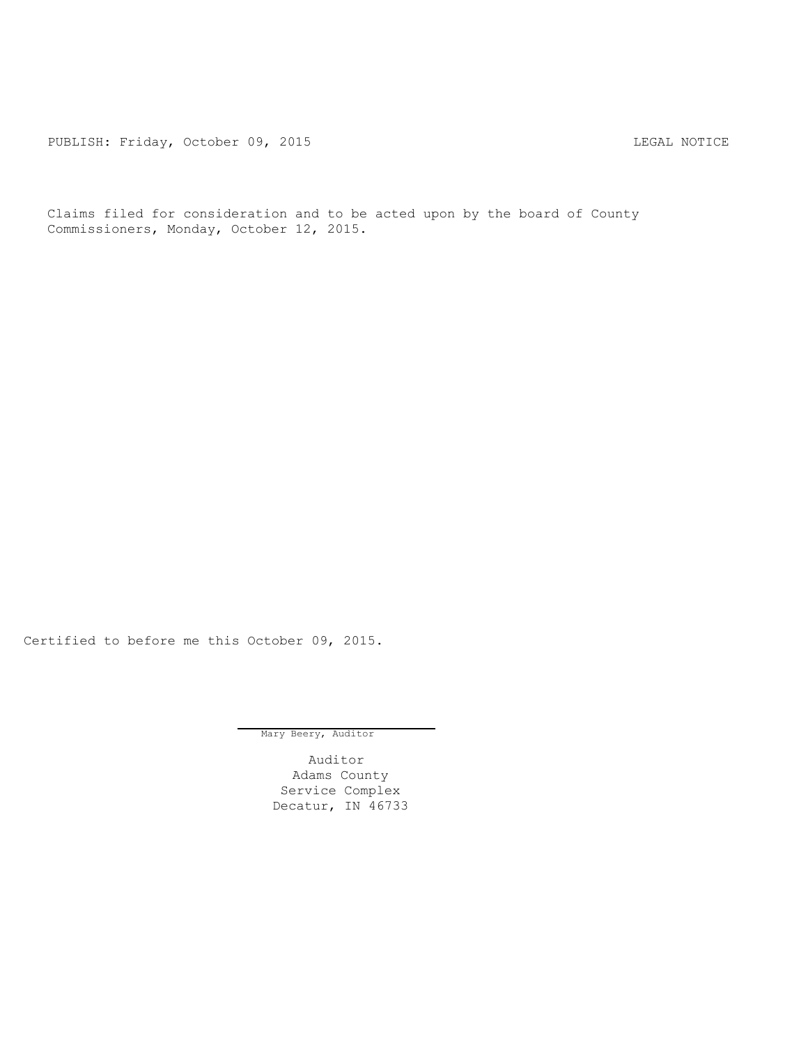PUBLISH: Friday, October 09, 2015 LEGAL NOTICE

Claims filed for consideration and to be acted upon by the board of County Commissioners, Monday, October 12, 2015.

Certified to before me this October 09, 2015.

Mary Beery, Auditor

Auditor Adams County Service Complex Decatur, IN 46733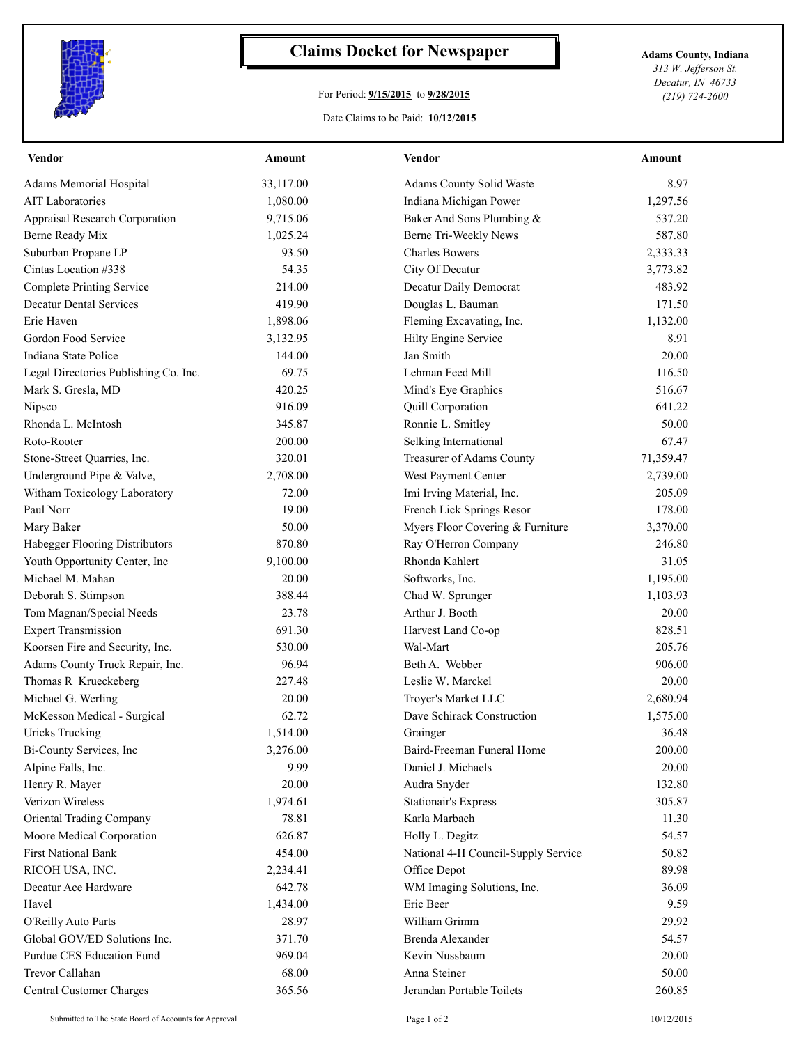

## **Claims Docket for Newspaper Adams County, Indiana**

## For Period: **9/15/2015** to **9/28/2015**

*313 W. Jefferson St. Decatur, IN 46733 (219) 724-2600*

## Date Claims to be Paid: **10/12/2015**

| <b>Vendor</b>                         | <b>Amount</b> | <b>Vendor</b>                       | <b>Amount</b> |
|---------------------------------------|---------------|-------------------------------------|---------------|
| Adams Memorial Hospital               | 33,117.00     | Adams County Solid Waste            | 8.97          |
| <b>AIT Laboratories</b>               | 1,080.00      | Indiana Michigan Power              | 1,297.56      |
| Appraisal Research Corporation        | 9,715.06      | Baker And Sons Plumbing &           | 537.20        |
| Berne Ready Mix                       | 1,025.24      | Berne Tri-Weekly News               | 587.80        |
| Suburban Propane LP                   | 93.50         | <b>Charles Bowers</b>               | 2,333.33      |
| Cintas Location #338                  | 54.35         | City Of Decatur                     | 3,773.82      |
| <b>Complete Printing Service</b>      | 214.00        | Decatur Daily Democrat              | 483.92        |
| <b>Decatur Dental Services</b>        | 419.90        | Douglas L. Bauman                   | 171.50        |
| Erie Haven                            | 1,898.06      | Fleming Excavating, Inc.            | 1,132.00      |
| Gordon Food Service                   | 3,132.95      | Hilty Engine Service                | 8.91          |
| Indiana State Police                  | 144.00        | Jan Smith                           | 20.00         |
| Legal Directories Publishing Co. Inc. | 69.75         | Lehman Feed Mill                    | 116.50        |
| Mark S. Gresla, MD                    | 420.25        | Mind's Eye Graphics                 | 516.67        |
| Nipsco                                | 916.09        | Quill Corporation                   | 641.22        |
| Rhonda L. McIntosh                    | 345.87        | Ronnie L. Smitley                   | 50.00         |
| Roto-Rooter                           | 200.00        | Selking International               | 67.47         |
| Stone-Street Quarries, Inc.           | 320.01        | Treasurer of Adams County           | 71,359.47     |
| Underground Pipe & Valve,             | 2,708.00      | West Payment Center                 | 2,739.00      |
| Witham Toxicology Laboratory          | 72.00         | Imi Irving Material, Inc.           | 205.09        |
| Paul Norr                             | 19.00         | French Lick Springs Resor           | 178.00        |
| Mary Baker                            | 50.00         | Myers Floor Covering & Furniture    | 3,370.00      |
| Habegger Flooring Distributors        | 870.80        | Ray O'Herron Company                | 246.80        |
| Youth Opportunity Center, Inc         | 9,100.00      | Rhonda Kahlert                      | 31.05         |
| Michael M. Mahan                      | 20.00         | Softworks, Inc.                     | 1,195.00      |
| Deborah S. Stimpson                   | 388.44        | Chad W. Sprunger                    | 1,103.93      |
| Tom Magnan/Special Needs              | 23.78         | Arthur J. Booth                     | 20.00         |
| <b>Expert Transmission</b>            | 691.30        | Harvest Land Co-op                  | 828.51        |
| Koorsen Fire and Security, Inc.       | 530.00        | Wal-Mart                            | 205.76        |
| Adams County Truck Repair, Inc.       | 96.94         | Beth A. Webber                      | 906.00        |
| Thomas R Krueckeberg                  | 227.48        | Leslie W. Marckel                   | 20.00         |
| Michael G. Werling                    | 20.00         | Troyer's Market LLC                 | 2,680.94      |
| McKesson Medical - Surgical           | 62.72         | Dave Schirack Construction          | 1,575.00      |
| <b>Uricks Trucking</b>                | 1,514.00      | Grainger                            | 36.48         |
| Bi-County Services, Inc               | 3,276.00      | Baird-Freeman Funeral Home          | 200.00        |
| Alpine Falls, Inc.                    | 9.99          | Daniel J. Michaels                  | 20.00         |
| Henry R. Mayer                        | 20.00         | Audra Snyder                        | 132.80        |
| Verizon Wireless                      | 1,974.61      | <b>Stationair's Express</b>         | 305.87        |
| Oriental Trading Company              | 78.81         | Karla Marbach                       | 11.30         |
| Moore Medical Corporation             | 626.87        | Holly L. Degitz                     | 54.57         |
| <b>First National Bank</b>            | 454.00        | National 4-H Council-Supply Service | 50.82         |
| RICOH USA, INC.                       | 2,234.41      | Office Depot                        | 89.98         |
| Decatur Ace Hardware                  | 642.78        | WM Imaging Solutions, Inc.          | 36.09         |
| Havel                                 | 1,434.00      | Eric Beer                           | 9.59          |
| O'Reilly Auto Parts                   | 28.97         | William Grimm                       | 29.92         |
| Global GOV/ED Solutions Inc.          | 371.70        | Brenda Alexander                    | 54.57         |
| Purdue CES Education Fund             | 969.04        | Kevin Nussbaum                      | 20.00         |
| <b>Trevor Callahan</b>                | 68.00         | Anna Steiner                        | 50.00         |
| <b>Central Customer Charges</b>       | 365.56        | Jerandan Portable Toilets           | 260.85        |